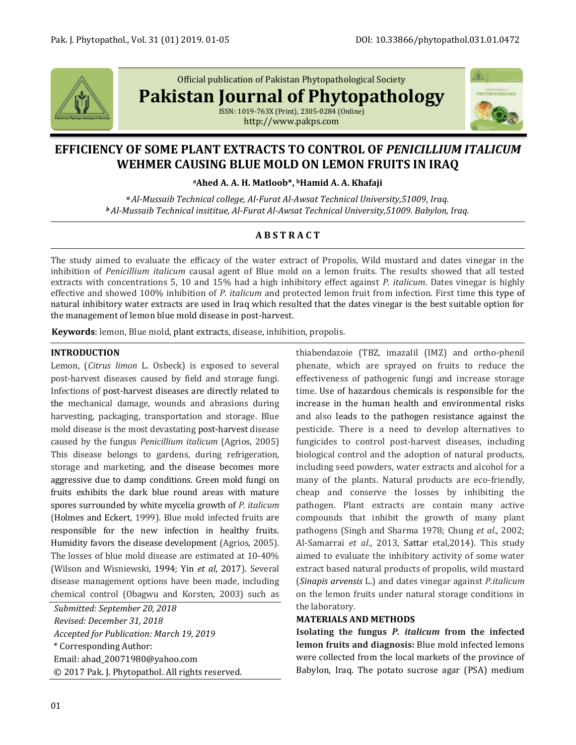

Official publication of Pakistan Phytopathological Society

**Pakistan Journal of Phytopathology**

ISSN: 1019-763X (Print), 2305-0284 (Online) http://www.pakps.com



# **EFFICIENCY OF SOME PLANT EXTRACTS TO CONTROL OF** *PENICILLIUM ITALICUM* **WEHMER CAUSING BLUE MOLD ON LEMON FRUITS IN IRAQ**

**<sup>a</sup>Ahed A. A. H. Matloob\*, <sup>b</sup>Hamid A. A. Khafaji**

*<sup>a</sup> Al-Mussaib Technical college, Al-Furat Al-Awsat Technical University,51009, Iraq. <sup>b</sup> Al-Mussaib Technical insititue, Al-Furat Al-Awsat Technical University,51009. Babylon, Iraq.*

## **A B S T R A C T**

The study aimed to evaluate the efficacy of the water extract of Propolis, Wild mustard and dates vinegar in the inhibition of *Penicillium italicum* causal agent of Blue mold on a lemon fruits. The results showed that all tested extracts with concentrations 5, 10 and 15% had a high inhibitory effect against *P. italicum*. Dates vinegar is highly effective and showed 100% inhibition of *P. italicum* and protected lemon fruit from infection. First time this type of natural inhibitory water extracts are used in Iraq which resulted that the dates vinegar is the best suitable option for the management of lemon blue mold disease in post-harvest.

**Keywords**: lemon, Blue mold, plant extracts, disease, inhibition, propolis.

## **INTRODUCTION**

Lemon, (*Citrus limon* L. Osbeck) is exposed to several post-harvest diseases caused by field and storage fungi. Infections of post-harvest diseases are directly related to the mechanical damage, wounds and abrasions during harvesting, packaging, transportation and storage. Blue mold disease is the most devastating post-harvest disease caused by the fungus *Penicillium italicum* (Agrios, 2005) This disease belongs to gardens, during refrigeration, storage and marketing, and the disease becomes more aggressive due to damp conditions. Green mold fungi on fruits exhibits the dark blue round areas with mature spores surrounded by white mycelia growth of *P. italicum* (Holmes and Eckert, 1999). Blue mold infected fruits are responsible for the new infection in healthy fruits. Humidity favors the disease development (Agrios, 2005). The losses of blue mold disease are estimated at 10-40% (Wilson and Wisniewski, 1994; Yin *et al*, 2017). Several disease management options have been made, including chemical control (Obagwu and Korsten, 2003) such as

*Submitted: September 20, 2018 Revised: December 31, 2018 Accepted for Publication: March 19, 2019* \* Corresponding Author: Email: [ahad\\_20071980@yahoo.com](mailto:ahad_20071980@yahoo.com) © 2017 Pak. J. Phytopathol. All rights reserved. thiabendazoie (TBZ, imazalil (IMZ) and ortho-phenil phenate, which are sprayed on fruits to reduce the effectiveness of pathogenic fungi and increase storage time. Use of hazardous chemicals is responsible for the increase in the human health and environmental risks and also leads to the pathogen resistance against the pesticide. There is a need to develop alternatives to fungicides to control post-harvest diseases, including biological control and the adoption of natural products, including seed powders, water extracts and alcohol for a many of the plants. Natural products are eco-friendly, cheap and conserve the losses by inhibiting the pathogen. Plant extracts are contain many active compounds that inhibit the growth of many plant pathogens (Singh and Sharma 1978; Chung *et al*., 2002; Al-Samarrai *et al*., 2013, Sattar etal,2014). This study aimed to evaluate the inhibitory activity of some water extract based natural products of propolis, wild mustard (*Sinapis arvensis* L.) and dates vinegar against *P.italicum* on the lemon fruits under natural storage conditions in the laboratory.

## **MATERIALS AND METHODS**

**Isolating the fungus** *P. italicum* **from the infected lemon fruits and diagnosis:** Blue mold infected lemons were collected from the local markets of the province of Babylon, Iraq. The potato sucrose agar (PSA) medium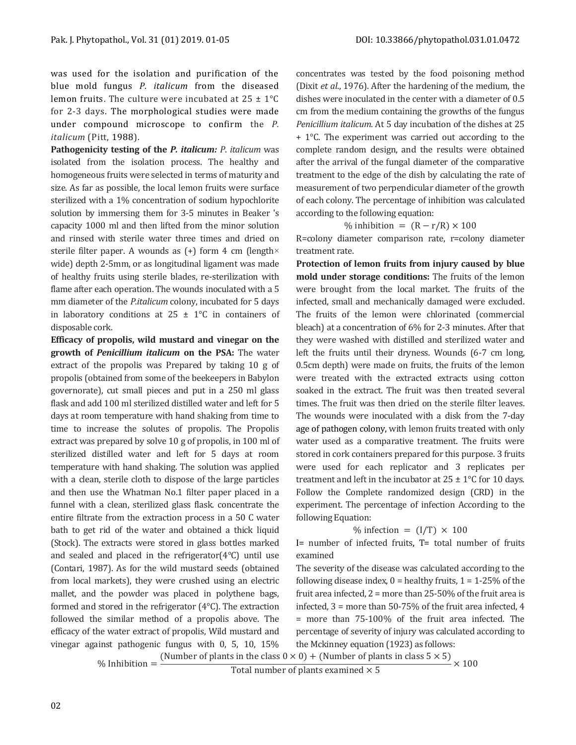was used for the isolation and purification of the blue mold fungus *P. italicum* from the diseased lemon fruits. The culture were incubated at  $25 \pm 1^{\circ}$ C for 2-3 days. The morphological studies were made under compound microscope to confirm the *P. italicum* (Pitt, 1988).

**Pathogenicity testing of the** *P. italicum: P*. *italicum* was isolated from the isolation process. The healthy and homogeneous fruits were selected in terms of maturity and size. As far as possible, the local lemon fruits were surface sterilized with a 1% concentration of sodium hypochlorite solution by immersing them for 3-5 minutes in Beaker 's capacity 1000 ml and then lifted from the minor solution and rinsed with sterile water three times and dried on sterile filter paper. A wounds as  $(+)$  form 4 cm (length $\times$ wide) depth 2-5mm, or as longitudinal ligament was made of healthy fruits using sterile blades, re-sterilization with flame after each operation. The wounds inoculated with a 5 mm diameter of the *P.italicum* colony, incubated for 5 days in laboratory conditions at  $25 \pm 1$ °C in containers of disposable cork.

**Efficacy of propolis, wild mustard and vinegar on the growth of** *Penicillium italicum* **on the PSA:** The water extract of the propolis was Prepared by taking 10 g of propolis (obtained from some of the beekeepers in Babylon governorate), cut small pieces and put in a 250 ml glass flask and add 100 ml sterilized distilled water and left for 5 days at room temperature with hand shaking from time to time to increase the solutes of propolis. The Propolis extract was prepared by solve 10 g of propolis, in 100 ml of sterilized distilled water and left for 5 days at room temperature with hand shaking. The solution was applied with a clean, sterile cloth to dispose of the large particles and then use the Whatman No.1 filter paper placed in a funnel with a clean, sterilized glass flask. concentrate the entire filtrate from the extraction process in a 50 C water bath to get rid of the water and obtained a thick liquid (Stock). The extracts were stored in glass bottles marked and sealed and placed in the refrigerator(4°C) until use (Contari, 1987). As for the wild mustard seeds (obtained from local markets), they were crushed using an electric mallet, and the powder was placed in polythene bags, formed and stored in the refrigerator (4°C). The extraction followed the similar method of a propolis above. The efficacy of the water extract of propolis, Wild mustard and vinegar against pathogenic fungus with 0, 5, 10, 15%

concentrates was tested by the food poisoning method (Dixit *et al*., 1976). After the hardening of the medium, the dishes were inoculated in the center with a diameter of 0.5 cm from the medium containing the growths of the fungus *Penicillium italicum*. At 5 day incubation of the dishes at 25 + 1°C. The experiment was carried out according to the complete random design, and the results were obtained after the arrival of the fungal diameter of the comparative treatment to the edge of the dish by calculating the rate of measurement of two perpendicular diameter of the growth of each colony. The percentage of inhibition was calculated according to the following equation:

% inhibition =  $(R - r/R) \times 100$ 

R=colony diameter comparison rate, r=colony diameter treatment rate.

**Protection of lemon fruits from injury caused by blue mold under storage conditions:** The fruits of the lemon were brought from the local market. The fruits of the infected, small and mechanically damaged were excluded. The fruits of the lemon were chlorinated (commercial bleach) at a concentration of 6% for 2-3 minutes. After that they were washed with distilled and sterilized water and left the fruits until their dryness. Wounds (6-7 cm long, 0.5cm depth) were made on fruits, the fruits of the lemon were treated with the extracted extracts using cotton soaked in the extract. The fruit was then treated several times. The fruit was then dried on the sterile filter leaves. The wounds were inoculated with a disk from the 7-day age of pathogen colony, with lemon fruits treated with only water used as a comparative treatment. The fruits were stored in cork containers prepared for this purpose. 3 fruits were used for each replicator and 3 replicates per treatment and left in the incubator at  $25 \pm 1$ °C for 10 days. Follow the Complete randomized design (CRD) in the experiment. The percentage of infection According to the following Equation:

#### % infection =  $(I/T) \times 100$

I= number of infected fruits, T= total number of fruits examined

The severity of the disease was calculated according to the following disease index,  $0 =$  healthy fruits,  $1 = 1-25\%$  of the fruit area infected, 2 = more than 25-50% of the fruit area is infected, 3 = more than 50-75% of the fruit area infected, 4 = more than 75-100% of the fruit area infected. The percentage of severity of injury was calculated according to the Mckinney equation (1923) as follows:

% Inhibition  $=\frac{(Number of plants in the class 0 \times 0) + (Number of plants in class 5 \times 5)}{Total number of plants in class 5 \times 5} \times 100$ 

Total number of plants examined  $\times$  5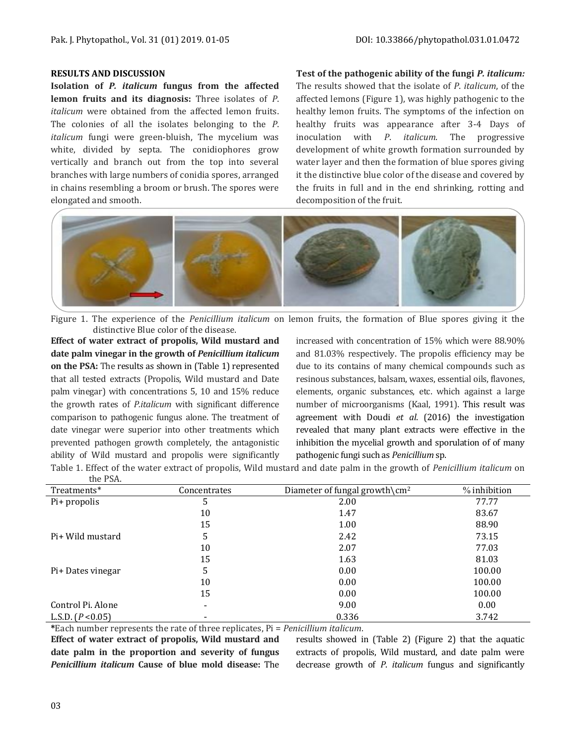## **RESULTS AND DISCUSSION**

**Isolation of** *P. italicum* **fungus from the affected lemon fruits and its diagnosis:** Three isolates of *P*. *italicum* were obtained from the affected lemon fruits. The colonies of all the isolates belonging to the *P*. *italicum* fungi were green-bluish, The mycelium was white, divided by septa. The conidiophores grow vertically and branch out from the top into several branches with large numbers of conidia spores, arranged in chains resembling a broom or brush. The spores were elongated and smooth.

**Test of the pathogenic ability of the fungi** *P. italicum:*  The results showed that the isolate of *P*. *italicum*, of the affected lemons (Figure 1), was highly pathogenic to the healthy lemon fruits. The symptoms of the infection on healthy fruits was appearance after 3-4 Days of inoculation with *P*. *italicum*. The progressive development of white growth formation surrounded by water layer and then the formation of blue spores giving it the distinctive blue color of the disease and covered by the fruits in full and in the end shrinking, rotting and decomposition of the fruit.



Figure 1. The experience of the *Penicillium italicum* on lemon fruits, the formation of Blue spores giving it the distinctive Blue color of the disease.

**Effect of water extract of propolis, Wild mustard and date palm vinegar in the growth of** *Penicillium italicum* **on the PSA:** The results as shown in (Table 1) represented that all tested extracts (Propolis, Wild mustard and Date palm vinegar) with concentrations 5, 10 and 15% reduce the growth rates of *P.italicum* with significant difference comparison to pathogenic fungus alone. The treatment of date vinegar were superior into other treatments which prevented pathogen growth completely, the antagonistic ability of Wild mustard and propolis were significantly

increased with concentration of 15% which were 88.90% and 81.03% respectively. The propolis efficiency may be due to its contains of many chemical compounds such as resinous substances, balsam, waxes, essential oils, flavones, elements, organic substances, etc. which against a large number of microorganisms (Kaal, 1991). This result was agreement with Doudi *et al*. (2016) the investigation revealed that many plant extracts were effective in the inhibition the mycelial growth and sporulation of of many pathogenic fungi such as *Penicillium* sp.

Table 1. Effect of the water extract of propolis, Wild mustard and date palm in the growth of *Penicillium italicum* on the PSA.

| 11011               |              |                                           |              |
|---------------------|--------------|-------------------------------------------|--------------|
| Treatments*         | Concentrates | Diameter of fungal growth\cm <sup>2</sup> | % inhibition |
| Pi+ propolis        | 5            | 2.00                                      | 77.77        |
|                     | 10           | 1.47                                      | 83.67        |
|                     | 15           | 1.00                                      | 88.90        |
| Pi+ Wild mustard    | 5            | 2.42                                      | 73.15        |
|                     | 10           | 2.07                                      | 77.03        |
|                     | 15           | 1.63                                      | 81.03        |
| Pi+ Dates vinegar   | 5            | 0.00                                      | 100.00       |
|                     | 10           | 0.00                                      | 100.00       |
|                     | 15           | 0.00                                      | 100.00       |
| Control Pi. Alone   | ۰            | 9.00                                      | 0.00         |
| L.S.D. $(P < 0.05)$ |              | 0.336                                     | 3.742        |

**\***Each number represents the rate of three replicates, Pi = *Penicillium italicum*.

**Effect of water extract of propolis, Wild mustard and date palm in the proportion and severity of fungus**  *Penicillium italicum* **Cause of blue mold disease:** The results showed in (Table 2) (Figure 2) that the aquatic extracts of propolis, Wild mustard, and date palm were decrease growth of *P*. *italicum* fungus and significantly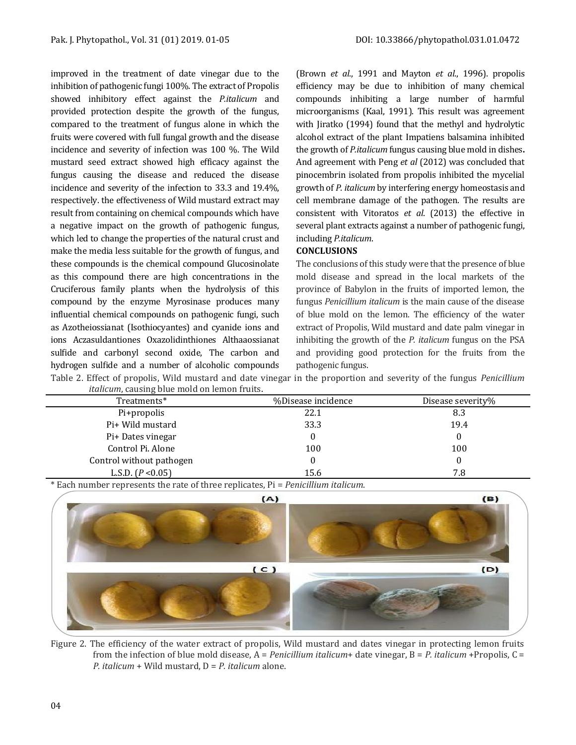improved in the treatment of date vinegar due to the inhibition of pathogenic fungi 100%. The extract of Propolis showed inhibitory effect against the *P.italicum* and provided protection despite the growth of the fungus, compared to the treatment of fungus alone in which the fruits were covered with full fungal growth and the disease incidence and severity of infection was 100 %. The Wild mustard seed extract showed high efficacy against the fungus causing the disease and reduced the disease incidence and severity of the infection to 33.3 and 19.4%, respectively. the effectiveness of Wild mustard extract may result from containing on chemical compounds which have a negative impact on the growth of pathogenic fungus, which led to change the properties of the natural crust and make the media less suitable for the growth of fungus, and these compounds is the chemical compound Glucosinolate as this compound there are high concentrations in the Cruciferous family plants when the hydrolysis of this compound by the enzyme Myrosinase produces many influential chemical compounds on pathogenic fungi, such as Azotheiossianat (Isothiocyantes) and cyanide ions and ions Aczasuldantiones Oxazolidinthiones Althaaossianat sulfide and carbonyl second oxide, The carbon and hydrogen sulfide and a number of alcoholic compounds

(Brown *et al*., 1991 and Mayton *et al*., 1996). propolis efficiency may be due to inhibition of many chemical compounds inhibiting a large number of harmful microorganisms (Kaal, 1991). This result was agreement with Jiratko (1994) found that the methyl and hydrolytic alcohol extract of the plant Impatiens balsamina inhibited the growth of *P.italicum* fungus causing blue mold in dishes**.** And agreement with Peng *et al* (2012) was concluded that pinocembrin isolated from propolis inhibited the mycelial growth of *P. italicum* by interfering energy homeostasis and cell membrane damage of the pathogen. The results are consistent with Vitoratos *et al*. (2013) the effective in several plant extracts against a number of pathogenic fungi, including *P.italicum*.

## **CONCLUSIONS**

The conclusions of this study were that the presence of blue mold disease and spread in the local markets of the province of Babylon in the fruits of imported lemon, the fungus *Penicillium italicum* is the main cause of the disease of blue mold on the lemon. The efficiency of the water extract of Propolis, Wild mustard and date palm vinegar in inhibiting the growth of the *P. italicum* fungus on the PSA and providing good protection for the fruits from the pathogenic fungus.

Table 2. Effect of propolis, Wild mustard and date vinegar in the proportion and severity of the fungus *Penicillium italicum*, causing blue mold on lemon fruits.

| rancam, caasing stae mora on femon n afts. |                    |                   |
|--------------------------------------------|--------------------|-------------------|
| Treatments*                                | %Disease incidence | Disease severity% |
| Pi+propolis                                | 22.1               | 8.3               |
| Pi+ Wild mustard                           | 33.3               | 19.4              |
| Pi+ Dates vinegar                          |                    | 0                 |
| Control Pi. Alone                          | 100                | 100               |
| Control without pathogen                   |                    |                   |
| L.S.D. $(P < 0.05)$                        | 15.6               | 7.8               |

\* Each number represents the rate of three replicates, Pi = *Penicillium italicum*.



Figure 2. The efficiency of the water extract of propolis, Wild mustard and dates vinegar in protecting lemon fruits from the infection of blue mold disease, A = *Penicillium italicum*+ date vinegar, B = *P. italicum* +Propolis, C = *P. italicum* + Wild mustard, D = *P. italicum* alone.